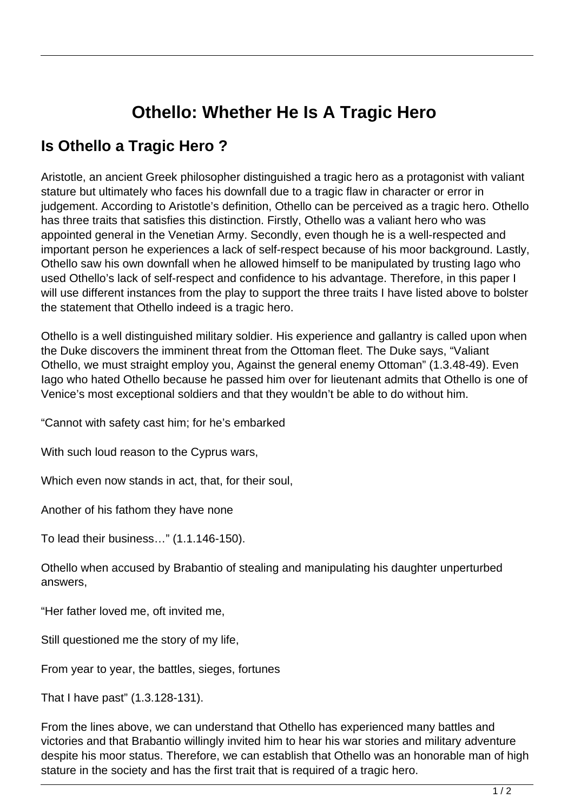## **Othello: Whether He Is A Tragic Hero**

## **Is Othello a Tragic Hero ?**

Aristotle, an ancient Greek philosopher distinguished a tragic hero as a protagonist with valiant stature but ultimately who faces his downfall due to a tragic flaw in character or error in judgement. According to Aristotle's definition, Othello can be perceived as a tragic hero. Othello has three traits that satisfies this distinction. Firstly, Othello was a valiant hero who was appointed general in the Venetian Army. Secondly, even though he is a well-respected and important person he experiences a lack of self-respect because of his moor background. Lastly, Othello saw his own downfall when he allowed himself to be manipulated by trusting Iago who used Othello's lack of self-respect and confidence to his advantage. Therefore, in this paper I will use different instances from the play to support the three traits I have listed above to bolster the statement that Othello indeed is a tragic hero.

Othello is a well distinguished military soldier. His experience and gallantry is called upon when the Duke discovers the imminent threat from the Ottoman fleet. The Duke says, "Valiant Othello, we must straight employ you, Against the general enemy Ottoman" (1.3.48-49). Even Iago who hated Othello because he passed him over for lieutenant admits that Othello is one of Venice's most exceptional soldiers and that they wouldn't be able to do without him.

"Cannot with safety cast him; for he's embarked

With such loud reason to the Cyprus wars,

Which even now stands in act, that, for their soul,

Another of his fathom they have none

To lead their business…" (1.1.146-150).

Othello when accused by Brabantio of stealing and manipulating his daughter unperturbed answers,

"Her father loved me, oft invited me,

Still questioned me the story of my life,

From year to year, the battles, sieges, fortunes

That I have past" (1.3.128-131).

From the lines above, we can understand that Othello has experienced many battles and victories and that Brabantio willingly invited him to hear his war stories and military adventure despite his moor status. Therefore, we can establish that Othello was an honorable man of high stature in the society and has the first trait that is required of a tragic hero.